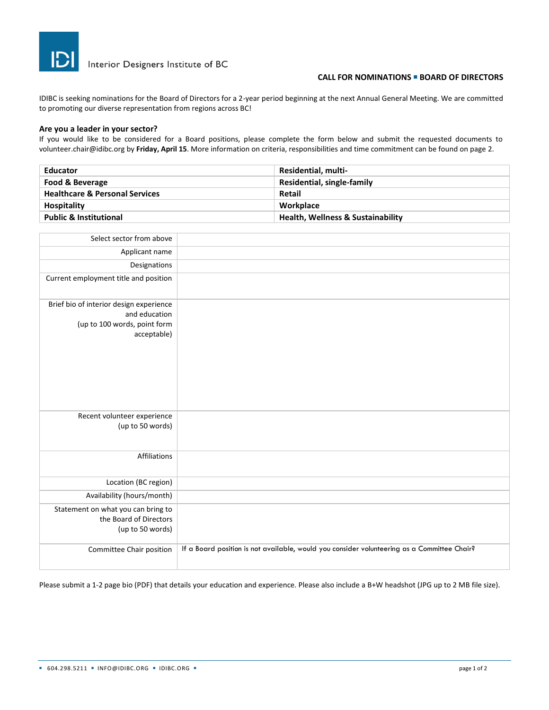

# **CALL FOR NOMINATIONS** <sup>◼</sup> **BOARD OF DIRECTORS**

IDIBC is seeking nominations for the Board of Directors for a 2-year period beginning at the next Annual General Meeting. We are committed to promoting our diverse representation from regions across BC!

#### **Are you a leader in your sector?**

If you would like to be considered for a Board positions, please complete the form below and submit the requested documents to volunteer.chair@idibc.org by **Friday, April 15**. More information on criteria, responsibilities and time commitment can be found on page 2.

| <b>Educator</b>                           | <b>Residential, multi-</b>                   |
|-------------------------------------------|----------------------------------------------|
| Food & Beverage                           | Residential, single-family                   |
| <b>Healthcare &amp; Personal Services</b> | Retail                                       |
| <b>Hospitality</b>                        | Workplace                                    |
| <b>Public &amp; Institutional</b>         | <b>Health, Wellness &amp; Sustainability</b> |

| Select sector from above                                                                                |                                                                                             |
|---------------------------------------------------------------------------------------------------------|---------------------------------------------------------------------------------------------|
| Applicant name                                                                                          |                                                                                             |
| Designations                                                                                            |                                                                                             |
| Current employment title and position                                                                   |                                                                                             |
| Brief bio of interior design experience<br>and education<br>(up to 100 words, point form<br>acceptable) |                                                                                             |
| Recent volunteer experience<br>(up to 50 words)                                                         |                                                                                             |
| Affiliations                                                                                            |                                                                                             |
| Location (BC region)                                                                                    |                                                                                             |
| Availability (hours/month)                                                                              |                                                                                             |
| Statement on what you can bring to<br>the Board of Directors<br>(up to 50 words)                        |                                                                                             |
| Committee Chair position                                                                                | If a Board position is not available, would you consider volunteering as a Committee Chair? |

Please submit a 1-2 page bio (PDF) that details your education and experience. Please also include a B+W headshot (JPG up to 2 MB file size).